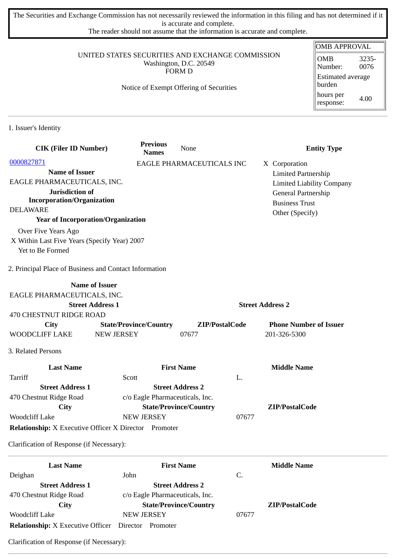The Securities and Exchange Commission has not necessarily reviewed the information in this filing and has not determined if it is accurate and complete.

The reader should not assume that the information is accurate and complete.

#### UNITED STATES SECURITIES AND EXCHANGE COMMISSION Washington, D.C. 20549 FORM D

## Notice of Exempt Offering of Securities

| OMB APPROVAL                       |               |  |  |  |
|------------------------------------|---------------|--|--|--|
| <b>OMB</b><br>Number:              | 3235-<br>0076 |  |  |  |
| <b>Estimated average</b><br>burden |               |  |  |  |
| hours per<br>response:             | 4.00          |  |  |  |

1. Issuer's Identity

| <b>CIK (Filer ID Number)</b>                                 | <b>Previous</b><br><b>Names</b> | None                            |                         | <b>Entity Type</b>                           |
|--------------------------------------------------------------|---------------------------------|---------------------------------|-------------------------|----------------------------------------------|
| 0000827871                                                   |                                 | EAGLE PHARMACEUTICALS INC       |                         | X Corporation                                |
| <b>Name of Issuer</b>                                        |                                 |                                 |                         | <b>Limited Partnership</b>                   |
| EAGLE PHARMACEUTICALS, INC.                                  |                                 |                                 |                         | <b>Limited Liability Company</b>             |
| Jurisdiction of<br><b>Incorporation/Organization</b>         |                                 |                                 |                         | General Partnership<br><b>Business Trust</b> |
| <b>DELAWARE</b>                                              |                                 |                                 |                         | Other (Specify)                              |
| <b>Year of Incorporation/Organization</b>                    |                                 |                                 |                         |                                              |
| Over Five Years Ago                                          |                                 |                                 |                         |                                              |
| X Within Last Five Years (Specify Year) 2007                 |                                 |                                 |                         |                                              |
| Yet to Be Formed                                             |                                 |                                 |                         |                                              |
| 2. Principal Place of Business and Contact Information       |                                 |                                 |                         |                                              |
|                                                              | <b>Name of Issuer</b>           |                                 |                         |                                              |
| EAGLE PHARMACEUTICALS, INC.                                  |                                 |                                 |                         |                                              |
|                                                              | <b>Street Address 1</b>         |                                 | <b>Street Address 2</b> |                                              |
| <b>470 CHESTNUT RIDGE ROAD</b>                               |                                 |                                 |                         |                                              |
| City                                                         | <b>State/Province/Country</b>   | ZIP/PostalCode                  |                         | <b>Phone Number of Issuer</b>                |
| WOODCLIFF LAKE                                               | <b>NEW JERSEY</b>               | 07677                           |                         | 201-326-5300                                 |
| 3. Related Persons                                           |                                 |                                 |                         |                                              |
| <b>Last Name</b>                                             |                                 | <b>First Name</b>               |                         | <b>Middle Name</b>                           |
| Tarriff                                                      | Scott                           |                                 | L.                      |                                              |
| <b>Street Address 1</b>                                      |                                 | <b>Street Address 2</b>         |                         |                                              |
| 470 Chestnut Ridge Road                                      |                                 | c/o Eagle Pharmaceuticals, Inc. |                         |                                              |
| <b>City</b>                                                  |                                 | <b>State/Province/Country</b>   |                         | ZIP/PostalCode                               |
| <b>Woodcliff Lake</b>                                        | <b>NEW JERSEY</b>               |                                 | 07677                   |                                              |
| <b>Relationship:</b> X Executive Officer X Director Promoter |                                 |                                 |                         |                                              |
| Clarification of Response (if Necessary):                    |                                 |                                 |                         |                                              |
| <b>Last Name</b>                                             |                                 | <b>First Name</b>               |                         | <b>Middle Name</b>                           |
| Deighan                                                      | John                            |                                 | C.                      |                                              |
| Stroot Address 1                                             |                                 | Stroot Address 7                |                         |                                              |

| <b>Street Address 1</b>                           | <b>Street Address 2</b>         |       |                |
|---------------------------------------------------|---------------------------------|-------|----------------|
| 470 Chestnut Ridge Road                           | c/o Eagle Pharmaceuticals, Inc. |       |                |
| City                                              | <b>State/Province/Country</b>   |       | ZIP/PostalCode |
| Woodcliff Lake                                    | <b>NEW JERSEY</b>               | 07677 |                |
| <b>Relationship:</b> X Executive Officer Director | Promoter                        |       |                |

Clarification of Response (if Necessary):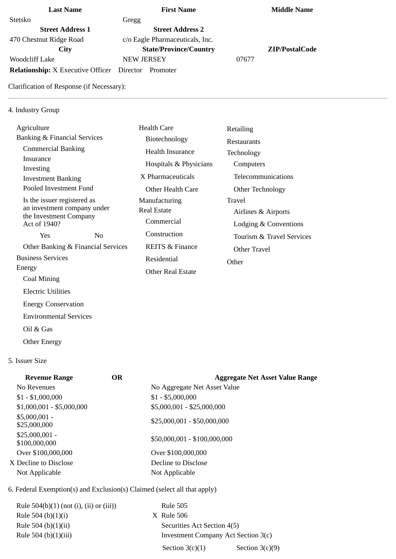# **Last Name First Name Middle Name** Stetsko Gregg **Street Address 1 Street Address 2** 470 Chestnut Ridge Road c/o Eagle Pharmaceuticals, Inc. **City State/Province/Country ZIP/PostalCode** Woodcliff Lake NEW JERSEY 197677 **Relationship:** X Executive Officer Director Promoter

Clarification of Response (if Necessary):

### 4. Industry Group

| Agriculture                                           |                                    | Health Care                | Retailing                 |
|-------------------------------------------------------|------------------------------------|----------------------------|---------------------------|
| Banking & Financial Services                          |                                    | Biotechnology              | Restaurants               |
| <b>Commercial Banking</b>                             |                                    | Health Insurance           | Technology                |
| Insurance<br>Investing                                |                                    | Hospitals & Physicians     | Computers                 |
| <b>Investment Banking</b>                             |                                    | X Pharmaceuticals          | Telecommunications        |
| Pooled Investment Fund                                |                                    | Other Health Care          | Other Technology          |
| Is the issuer registered as                           |                                    | Manufacturing              | Travel                    |
| an investment company under<br>the Investment Company |                                    | Real Estate                | Airlines & Airports       |
| Act of 1940?                                          |                                    | Commercial                 | Lodging & Conventions     |
| Yes                                                   | No.                                | Construction               | Tourism & Travel Services |
|                                                       | Other Banking & Financial Services | <b>REITS &amp; Finance</b> | Other Travel              |
| <b>Business Services</b>                              |                                    | Residential                | Other                     |
| Energy                                                |                                    | Other Real Estate          |                           |
| Coal Mining                                           |                                    |                            |                           |

#### 5. Issuer Size

Electric Utilities

Oil & Gas

Other Energy

 Energy Conservation Environmental Services

| <b>Revenue Range</b>             | <b>OR</b> | <b>Aggregate Net Asset Value Range</b> |
|----------------------------------|-----------|----------------------------------------|
| No Revenues                      |           | No Aggregate Net Asset Value           |
| $$1 - $1,000,000$                |           | $$1 - $5,000,000$                      |
| $$1,000,001 - $5,000,000$        |           | \$5,000,001 - \$25,000,000             |
| $$5,000,001 -$<br>\$25,000,000   |           | \$25,000,001 - \$50,000,000            |
| $$25,000,001 -$<br>\$100,000,000 |           | \$50,000,001 - \$100,000,000           |
| Over \$100,000,000               |           | Over \$100,000,000                     |
| X Decline to Disclose            |           | Decline to Disclose                    |
| Not Applicable                   |           | Not Applicable                         |

# 6. Federal Exemption(s) and Exclusion(s) Claimed (select all that apply)

Rule 504(b)(1) (not (i), (ii) or (iii)) Rule 505 Rule 504 (b)(1)(i) X Rule 506 Rule 504 (b)(1)(ii) Securities Act Section 4(5)

Rule 504 (b)(1)(iii) Investment Company Act Section 3(c) Section  $3(c)(1)$  Section  $3(c)(9)$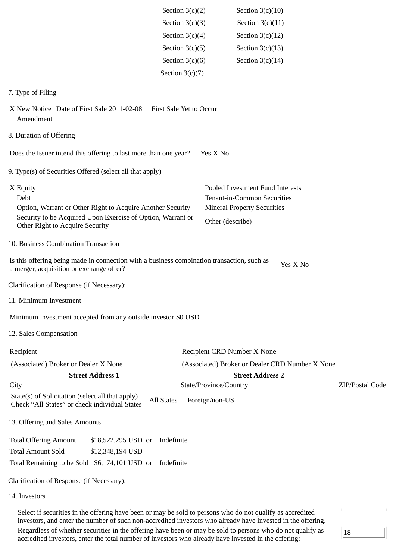|                                                                                                                                        | Section $3(c)(2)$              | Section $3(c)(10)$                              |          |                 |
|----------------------------------------------------------------------------------------------------------------------------------------|--------------------------------|-------------------------------------------------|----------|-----------------|
|                                                                                                                                        | Section $3(c)(3)$              | Section $3(c)(11)$                              |          |                 |
|                                                                                                                                        | Section $3(c)(4)$              | Section $3(c)(12)$                              |          |                 |
|                                                                                                                                        | Section $3(c)(5)$              | Section $3(c)(13)$                              |          |                 |
|                                                                                                                                        | Section $3(c)(6)$              | Section $3(c)(14)$                              |          |                 |
|                                                                                                                                        | Section $3(c)(7)$              |                                                 |          |                 |
| 7. Type of Filing                                                                                                                      |                                |                                                 |          |                 |
| X New Notice Date of First Sale 2011-02-08<br>Amendment                                                                                | <b>First Sale Yet to Occur</b> |                                                 |          |                 |
| 8. Duration of Offering                                                                                                                |                                |                                                 |          |                 |
| Does the Issuer intend this offering to last more than one year?                                                                       |                                | Yes X No                                        |          |                 |
| 9. Type(s) of Securities Offered (select all that apply)                                                                               |                                |                                                 |          |                 |
| X Equity                                                                                                                               |                                | Pooled Investment Fund Interests                |          |                 |
| Debt                                                                                                                                   |                                | Tenant-in-Common Securities                     |          |                 |
| Option, Warrant or Other Right to Acquire Another Security<br>Security to be Acquired Upon Exercise of Option, Warrant or              |                                | <b>Mineral Property Securities</b>              |          |                 |
| Other Right to Acquire Security                                                                                                        |                                | Other (describe)                                |          |                 |
| 10. Business Combination Transaction                                                                                                   |                                |                                                 |          |                 |
| Is this offering being made in connection with a business combination transaction, such as<br>a merger, acquisition or exchange offer? |                                |                                                 | Yes X No |                 |
| Clarification of Response (if Necessary):                                                                                              |                                |                                                 |          |                 |
| 11. Minimum Investment                                                                                                                 |                                |                                                 |          |                 |
| Minimum investment accepted from any outside investor \$0 USD                                                                          |                                |                                                 |          |                 |
| 12. Sales Compensation                                                                                                                 |                                |                                                 |          |                 |
| Recipient                                                                                                                              |                                | Recipient CRD Number X None                     |          |                 |
| (Associated) Broker or Dealer X None                                                                                                   |                                | (Associated) Broker or Dealer CRD Number X None |          |                 |
| <b>Street Address 1</b>                                                                                                                |                                | <b>Street Address 2</b>                         |          |                 |
| City                                                                                                                                   |                                | State/Province/Country                          |          | ZIP/Postal Code |
| State(s) of Solicitation (select all that apply)<br><b>All States</b><br>Check "All States" or check individual States                 |                                | Foreign/non-US                                  |          |                 |
| 13. Offering and Sales Amounts                                                                                                         |                                |                                                 |          |                 |
| <b>Total Offering Amount</b><br>\$18,522,295 USD or                                                                                    | Indefinite                     |                                                 |          |                 |
| <b>Total Amount Sold</b><br>\$12,348,194 USD                                                                                           |                                |                                                 |          |                 |
| Total Remaining to be Sold \$6,174,101 USD or                                                                                          | Indefinite                     |                                                 |          |                 |
| Clarification of Response (if Necessary):                                                                                              |                                |                                                 |          |                 |
| 14. Investors                                                                                                                          |                                |                                                 |          |                 |

Select if securities in the offering have been or may be sold to persons who do not qualify as accredited investors, and enter the number of such non-accredited investors who already have invested in the offering. Regardless of whether securities in the offering have been or may be sold to persons who do not qualify as accredited investors, enter the total number of investors who already have invested in the offering:

 $\sqrt{18}$